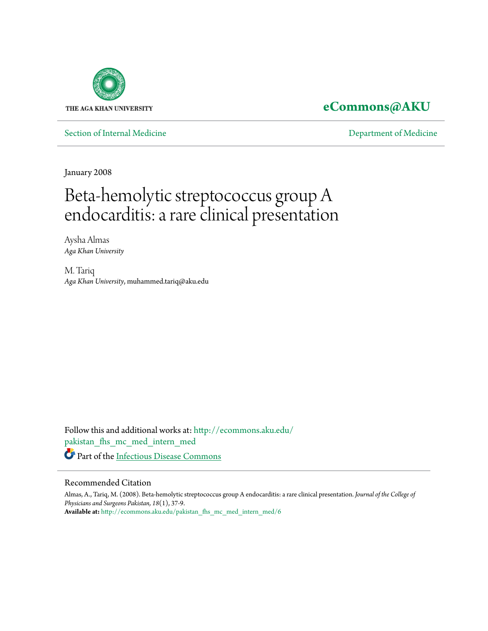

### **[eCommons@AKU](http://ecommons.aku.edu?utm_source=ecommons.aku.edu%2Fpakistan_fhs_mc_med_intern_med%2F6&utm_medium=PDF&utm_campaign=PDFCoverPages)**

[Section of Internal Medicine](http://ecommons.aku.edu/pakistan_fhs_mc_med_intern_med?utm_source=ecommons.aku.edu%2Fpakistan_fhs_mc_med_intern_med%2F6&utm_medium=PDF&utm_campaign=PDFCoverPages) **Section** [Department of Medicine](http://ecommons.aku.edu/pakistan_fhs_mc_med?utm_source=ecommons.aku.edu%2Fpakistan_fhs_mc_med_intern_med%2F6&utm_medium=PDF&utm_campaign=PDFCoverPages)

January 2008

# Beta-hemolytic streptococcus group A endocarditis: a rare clinical presentation

Aysha Almas *Aga Khan University*

M. Tariq *Aga Khan University*, muhammed.tariq@aku.edu

Follow this and additional works at: [http://ecommons.aku.edu/](http://ecommons.aku.edu/pakistan_fhs_mc_med_intern_med?utm_source=ecommons.aku.edu%2Fpakistan_fhs_mc_med_intern_med%2F6&utm_medium=PDF&utm_campaign=PDFCoverPages) [pakistan\\_fhs\\_mc\\_med\\_intern\\_med](http://ecommons.aku.edu/pakistan_fhs_mc_med_intern_med?utm_source=ecommons.aku.edu%2Fpakistan_fhs_mc_med_intern_med%2F6&utm_medium=PDF&utm_campaign=PDFCoverPages) Part of the [Infectious Disease Commons](http://network.bepress.com/hgg/discipline/689?utm_source=ecommons.aku.edu%2Fpakistan_fhs_mc_med_intern_med%2F6&utm_medium=PDF&utm_campaign=PDFCoverPages)

#### Recommended Citation

Almas, A., Tariq, M. (2008). Beta-hemolytic streptococcus group A endocarditis: a rare clinical presentation. *Journal of the College of Physicians and Surgeons Pakistan, 18*(1), 37-9. **Available at:** [http://ecommons.aku.edu/pakistan\\_fhs\\_mc\\_med\\_intern\\_med/6](http://ecommons.aku.edu/pakistan_fhs_mc_med_intern_med/6)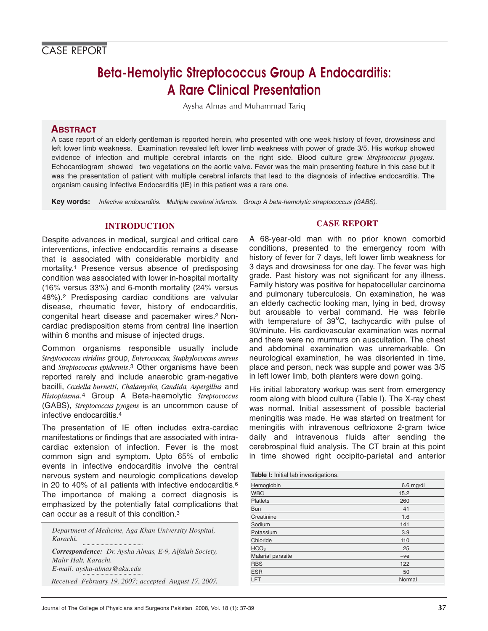## **Beta-Hemolytic Streptococcus Group A Endocarditis: A Rare Clinical Presentation**

Aysha Almas and Muhammad Tariq

#### **ABSTRACT**

A case report of an elderly gentleman is reported herein, who presented with one week history of fever, drowsiness and left lower limb weakness. Examination revealed left lower limb weakness with power of grade 3/5. His workup showed evidence of infection and multiple cerebral infarcts on the right side. Blood culture grew *Streptococcus pyogens*. Echocardiogram showed two vegetations on the aortic valve. Fever was the main presenting feature in this case but it was the presentation of patient with multiple cerebral infarcts that lead to the diagnosis of infective endocarditis. The organism causing Infective Endocarditis (IE) in this patient was a rare one.

**Key words:** Infective endocarditis. Multiple cerebral infarcts. Group A beta-hemolytic streptococcus (GABS).

#### **INTRODUCTION**

Despite advances in medical, surgical and critical care interventions, infective endocarditis remains a disease that is associated with considerable morbidity and mortality.1 Presence versus absence of predisposing condition was associated with lower in-hospital mortality (16% versus 33%) and 6-month mortality (24% versus 48%).2 Predisposing cardiac conditions are valvular disease, rheumatic fever, history of endocarditis, congenital heart disease and pacemaker wires.2 Noncardiac predisposition stems from central line insertion within 6 months and misuse of injected drugs.

Common organisms responsible usually include *Streptococcus viridins* group, *Enterococcus, Staphylococcus aureus* and *Streptococcus epidermis*.3 Other organisms have been reported rarely and include anaerobic gram-negative bacilli, *Coxiella burnetti*, *Chalamydia, Candida, Aspergillus* and *Histoplasma*.4 Group A Beta-haemolytic *Streptococcus* (GABS), *Streptococcus pyogens* is an uncommon cause of infective endocarditis.4

The presentation of IE often includes extra-cardiac manifestations or findings that are associated with intracardiac extension of infection. Fever is the most common sign and symptom. Upto 65% of embolic events in infective endocarditis involve the central nervous system and neurologic complications develop in 20 to 40% of all patients with infective endocarditis.6 The importance of making a correct diagnosis is emphasized by the potentially fatal complications that can occur as a result of this condition.3

*Department of Medicine, Aga Khan University Hospital, Karachi.*

*Correspondence: Dr. Aysha Almas, E-9, Alfalah Society, Malir Halt, Karachi. E-mail: aysha-almas@aku.edu*

*Received February 19, 2007; accepted August 17, 2007.*

#### **CASE REPORT**

A 68-year-old man with no prior known comorbid conditions, presented to the emergency room with history of fever for 7 days, left lower limb weakness for 3 days and drowsiness for one day. The fever was high grade. Past history was not significant for any illness. Family history was positive for hepatocellular carcinoma and pulmonary tuberculosis. On examination, he was an elderly cachectic looking man, lying in bed, drowsy but arousable to verbal command. He was febrile with temperature of  $39^{\circ}$ C, tachycardic with pulse of 90/minute. His cardiovascular examination was normal and there were no murmurs on auscultation. The chest and abdominal examination was unremarkable. On neurological examination, he was disoriented in time, place and person, neck was supple and power was 3/5 in left lower limb, both planters were down going.

His initial laboratory workup was sent from emergency room along with blood culture (Table I). The X-ray chest was normal. Initial assessment of possible bacterial meningitis was made. He was started on treatment for meningitis with intravenous ceftrioxone 2-gram twice daily and intravenous fluids after sending the cerebrospinal fluid analysis. The CT brain at this point in time showed right occipito-parietal and anterior

| <b>Table I:</b> Initial lab investigations. |             |
|---------------------------------------------|-------------|
| Hemoglobin                                  | $6.6$ mg/dl |
| <b>WBC</b>                                  | 15.2        |
| <b>Platlets</b>                             | 260         |
| <b>Bun</b>                                  | 41          |
| Creatinine                                  | 1.6         |
| Sodium                                      | 141         |
| Potassium                                   | 3.9         |
| Chloride                                    | 110         |
| HCO <sub>3</sub>                            | 25          |
| Malarial parasite                           | $-ve$       |
| <b>RBS</b>                                  | 122         |
| <b>ESR</b>                                  | 50          |
| LFT                                         | Normal      |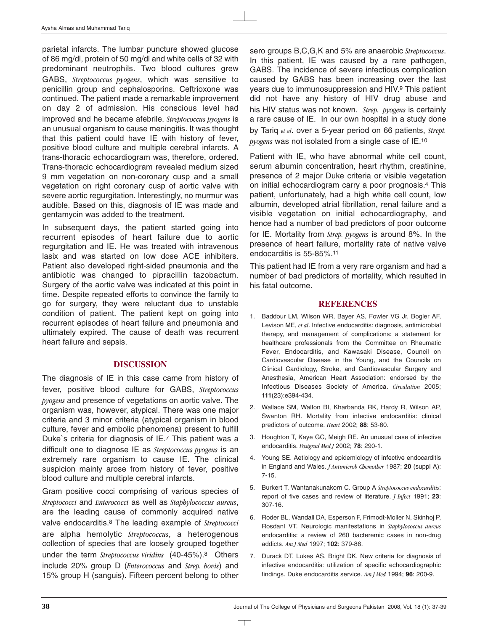parietal infarcts. The lumbar puncture showed glucose of 86 mg/dl, protein of 50 mg/dl and white cells of 32 with predominant neutrophils. Two blood cultures grew GABS, *Streptococcus pyogens*, which was sensitive to penicillin group and cephalosporins. Ceftrioxone was continued. The patient made a remarkable improvement on day 2 of admission. His conscious level had improved and he became afebrile. *Streptococcus pyogens* is an unusual organism to cause meningitis. It was thought that this patient could have IE with history of fever, positive blood culture and multiple cerebral infarcts. A trans-thoracic echocardiogram was, therefore, ordered. Trans-thoracic echocardiogram revealed medium sized 9 mm vegetation on non-coronary cusp and a small vegetation on right coronary cusp of aortic valve with severe aortic regurgitation. Interestingly, no murmur was audible. Based on this, diagnosis of IE was made and gentamycin was added to the treatment.

In subsequent days, the patient started going into recurrent episodes of heart failure due to aortic regurgitation and IE. He was treated with intravenous lasix and was started on low dose ACE inhibiters. Patient also developed right-sided pneumonia and the antibiotic was changed to pipracillin tazobactum. Surgery of the aortic valve was indicated at this point in time. Despite repeated efforts to convince the family to go for surgery, they were reluctant due to unstable condition of patient. The patient kept on going into recurrent episodes of heart failure and pneumonia and ultimately expired. The cause of death was recurrent heart failure and sepsis.

#### **DISCUSSION**

The diagnosis of IE in this case came from history of fever, positive blood culture for GABS, *Streptococcus pyogens* and presence of vegetations on aortic valve. The organism was, however, atypical. There was one major criteria and 3 minor criteria (atypical organism in blood culture, fever and embolic phenomena) present to fulfill Duke`s criteria for diagnosis of IE.7 This patient was a difficult one to diagnose IE as *Streptococcus pyogens* is an extremely rare organism to cause IE. The clinical suspicion mainly arose from history of fever, positive blood culture and multiple cerebral infarcts.

Gram positive cocci comprising of various species of *Streptococci* and *Enterococci* as well as *Staphylococcus aureus*, are the leading cause of commonly acquired native valve endocarditis.8 The leading example of *Streptococci* are alpha hemolytic *Streptococcus*, a heterogenous collection of species that are loosely grouped together under the term *Streptococcus Viridins* (40-45%).8 Others include 20% group D (*Enterococcus* and *Strep. bovis*) and 15% group H (sanguis). Fifteen percent belong to other sero groups B,C,G,K and 5% are anaerobic *Streptococcus*. In this patient, IE was caused by a rare pathogen, GABS. The incidence of severe infectious complication caused by GABS has been increasing over the last years due to immunosuppression and HIV.9 This patient did not have any history of HIV drug abuse and his HIV status was not known. *Strep. pyogens* is certainly a rare cause of IE. In our own hospital in a study done by Tariq *et al*. over a 5-year period on 66 patients, *Strept. pyogens* was not isolated from a single case of IE.10

Patient with IE, who have abnormal white cell count, serum albumin concentration, heart rhythm, creatinine, presence of 2 major Duke criteria or visible vegetation on initial echocardiogram carry a poor prognosis.4 This patient, unfortunately, had a high white cell count, low albumin, developed atrial fibrillation, renal failure and a visible vegetation on initial echocardiography, and hence had a number of bad predictors of poor outcome for IE. Mortality from *Strep. pyogens* is around 8%. In the presence of heart failure, mortality rate of native valve endocarditis is 55-85%.11

This patient had IE from a very rare organism and had a number of bad predictors of mortality, which resulted in his fatal outcome.

#### **REFERENCES**

- 1. Baddour LM, Wilson WR, Bayer AS, Fowler VG Jr, Bogler AF, Levison ME, *et al*. Infective endocarditis: diagnosis, antimicrobial therapy, and management of complications: a statement for healthcare professionals from the Committee on Rheumatic Fever, Endocarditis, and Kawasaki Disease, Council on Cardiovascular Disease in the Young, and the Councils on Clinical Cardiology, Stroke, and Cardiovascular Surgery and Anesthesia, American Heart Association: endorsed by the Infectious Diseases Society of America. *Circulation* 2005; **111**(23):e394-434.
- 2. Wallace SM, Walton BI, Kharbanda RK, Hardy R, Wilson AP, Swanton RH. Mortality from infective endocarditis: clinical predictors of outcome. *Heart* 2002; **88**: 53-60.
- 3. Houghton T, Kaye GC, Meigh RE. An unusual case of infective endocarditis. *Postgrad Med J* 2002; **78**: 290-1.
- 4. Young SE. Aetiology and epidemiology of infective endocarditis in England and Wales. *J Antimicrob Chemother* 1987; **20** (suppl A): 7-15.
- 5. Burkert T, Wantanakunakorn C. Group A *Streptococcus endocarditis*: report of five cases and review of literature. *J Infect* 1991; **23**: 307-16.
- 6. Roder BL, Wandall DA, Esperson F, Frimodt-Moller N, Skinhoj P, Rosdanl VT. Neurologic manifestations in *Staphylococcus aureus* endocarditis: a review of 260 bacteremic cases in non-drug addicts. *Am J Med* 1997; **102**: 379-86.
- 7. Durack DT, Lukes AS, Bright DK. New criteria for diagnosis of infective endocarditis: utilization of specific echocardiographic findings. Duke endocarditis service. *Am J Med* 1994; **96**: 200-9.

 $\top$